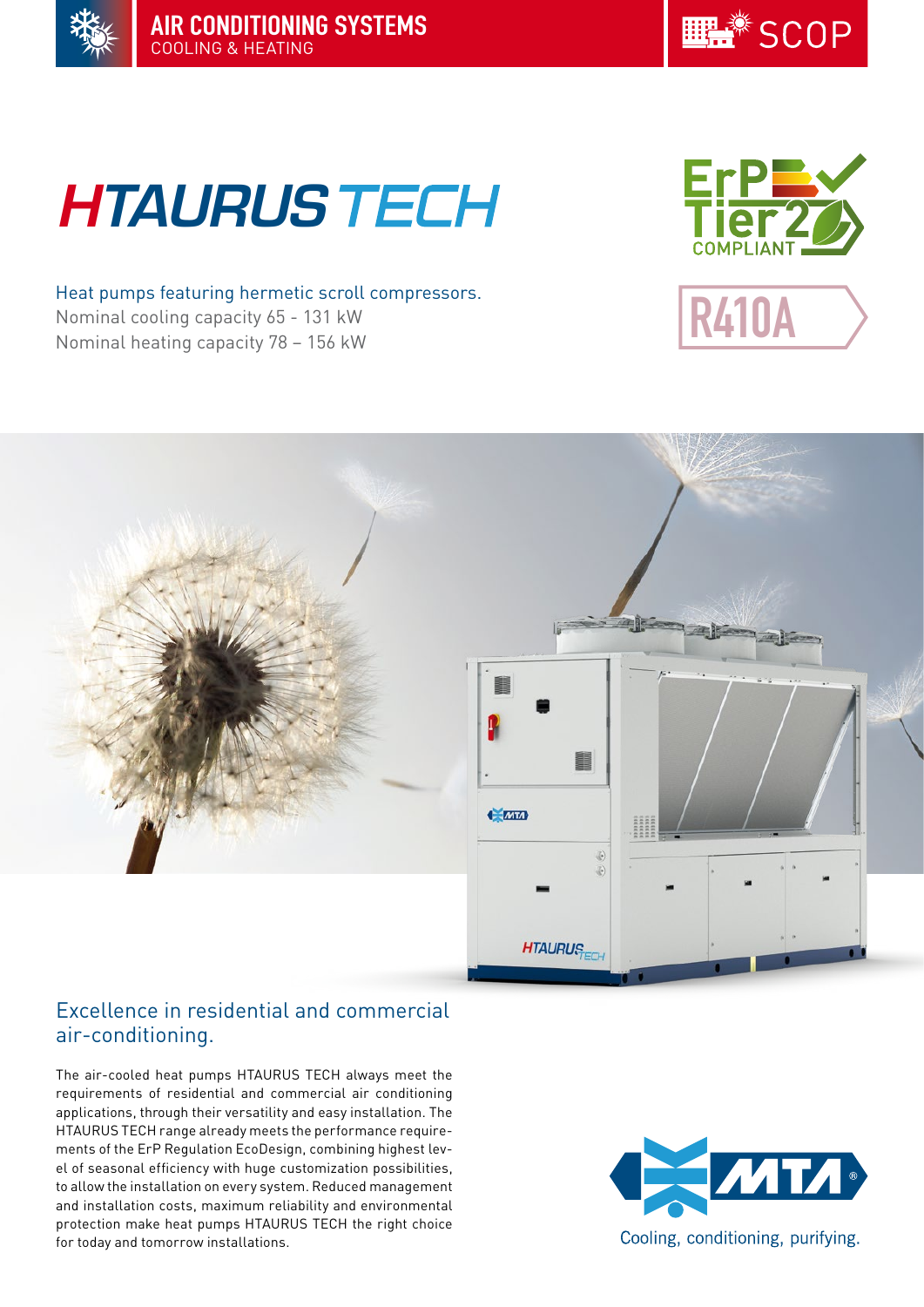



# **HTAURUS TECH**

Heat pumps featuring hermetic scroll compressors. Nominal cooling capacity 65 - 131 kW Nominal heating capacity 78 – 156 kW







# Excellence in residential and commercial air-conditioning.

The air-cooled heat pumps HTAURUS TECH always meet the requirements of residential and commercial air conditioning applications, through their versatility and easy installation. The HTAURUS TECH range already meets the performance requirements of the ErP Regulation EcoDesign, combining highest level of seasonal efficiency with huge customization possibilities, to allow the installation on every system. Reduced management and installation costs, maximum reliability and environmental protection make heat pumps HTAURUS TECH the right choice for today and tomorrow installations.